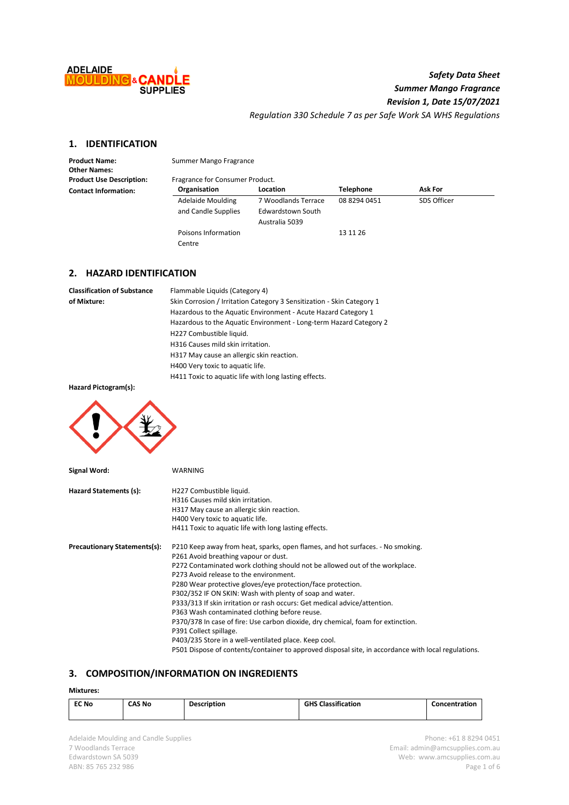

# *Safety Data Sheet Summer Mango Fragrance Revision 1, Date 15/07/2021 Regulation 330 Schedule 7 as per Safe Work SA WHS Regulations*

# **1. IDENTIFICATION**

**Other Names:**

Product Name: Summer Mango Fragrance

| <b>Product Use Description:</b> | Fragrance for Consumer Product. |                     |                  |                |
|---------------------------------|---------------------------------|---------------------|------------------|----------------|
| <b>Contact Information:</b>     | Organisation                    | Location            | <b>Telephone</b> | <b>Ask For</b> |
|                                 | Adelaide Moulding               | 7 Woodlands Terrace | 08 8294 0451     | SDS Officer    |
|                                 | and Candle Supplies             | Edwardstown South   |                  |                |
|                                 |                                 | Australia 5039      |                  |                |
|                                 | Poisons Information             |                     | 13 11 26         |                |
|                                 | Centre                          |                     |                  |                |

# **2. HAZARD IDENTIFICATION**

| <b>Classification of Substance</b> | Flammable Liquids (Category 4)                                         |
|------------------------------------|------------------------------------------------------------------------|
| of Mixture:                        | Skin Corrosion / Irritation Category 3 Sensitization - Skin Category 1 |
|                                    | Hazardous to the Aquatic Environment - Acute Hazard Category 1         |
|                                    | Hazardous to the Aquatic Environment - Long-term Hazard Category 2     |
|                                    | H227 Combustible liquid.                                               |
|                                    | H316 Causes mild skin irritation.                                      |
|                                    | H317 May cause an allergic skin reaction.                              |
|                                    | H400 Very toxic to aquatic life.                                       |
|                                    |                                                                        |

H411 Toxic to aquatic life with long lasting effects.

**Hazard Pictogram(s):**



| Signal Word:                        | WARNING                                                                                             |
|-------------------------------------|-----------------------------------------------------------------------------------------------------|
| Hazard Statements (s):              | H227 Combustible liquid.                                                                            |
|                                     | H316 Causes mild skin irritation.                                                                   |
|                                     | H317 May cause an allergic skin reaction.                                                           |
|                                     | H400 Very toxic to aquatic life.                                                                    |
|                                     | H411 Toxic to aquatic life with long lasting effects.                                               |
| <b>Precautionary Statements(s):</b> | P210 Keep away from heat, sparks, open flames, and hot surfaces. - No smoking.                      |
|                                     | P261 Avoid breathing vapour or dust.                                                                |
|                                     | P272 Contaminated work clothing should not be allowed out of the workplace.                         |
|                                     | P273 Avoid release to the environment.                                                              |
|                                     | P280 Wear protective gloves/eye protection/face protection.                                         |
|                                     | P302/352 IF ON SKIN: Wash with plenty of soap and water.                                            |
|                                     | P333/313 If skin irritation or rash occurs: Get medical advice/attention.                           |
|                                     | P363 Wash contaminated clothing before reuse.                                                       |
|                                     | P370/378 In case of fire: Use carbon dioxide, dry chemical, foam for extinction.                    |
|                                     | P391 Collect spillage.                                                                              |
|                                     | P403/235 Store in a well-ventilated place. Keep cool.                                               |
|                                     | P501 Dispose of contents/container to approved disposal site, in accordance with local regulations. |

### **3. COMPOSITION/INFORMATION ON INGREDIENTS**

## **Mixtures:**

| <b>EC No</b> | CAS No | <b>Description</b> | <b>GHS Classification</b> | Concentration |
|--------------|--------|--------------------|---------------------------|---------------|
|              |        |                    |                           |               |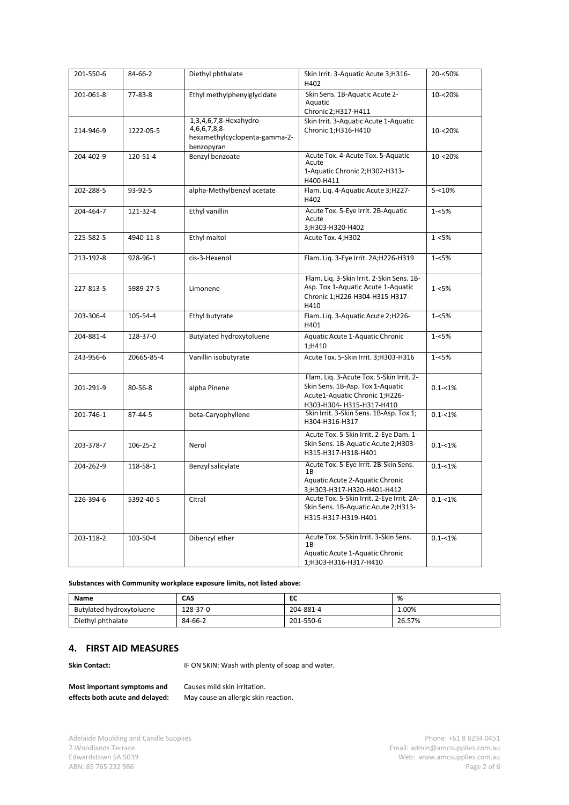| 201-550-6 | 84-66-2    | Diethyl phthalate                                                                                | Skin Irrit. 3-Aquatic Acute 3;H316-<br>H402                                                                                                | 20-<50%     |  |
|-----------|------------|--------------------------------------------------------------------------------------------------|--------------------------------------------------------------------------------------------------------------------------------------------|-------------|--|
| 201-061-8 | 77-83-8    | Skin Sens. 1B-Aquatic Acute 2-<br>Ethyl methylphenylglycidate<br>Aquatic<br>Chronic 2; H317-H411 |                                                                                                                                            | 10-<20%     |  |
| 214-946-9 | 1222-05-5  | 1,3,4,6,7,8-Hexahydro-<br>4,6,6,7,8,8-<br>hexamethylcyclopenta-gamma-2-<br>benzopyran            | Skin Irrit. 3-Aquatic Acute 1-Aquatic<br>Chronic 1;H316-H410                                                                               | 10-<20%     |  |
| 204-402-9 | 120-51-4   | Benzyl benzoate                                                                                  | Acute Tox. 4-Acute Tox. 5-Aquatic<br>Acute<br>1-Aquatic Chronic 2;H302-H313-<br>H400-H411                                                  | 10-<20%     |  |
| 202-288-5 | 93-92-5    | alpha-Methylbenzyl acetate                                                                       | Flam. Liq. 4-Aquatic Acute 3;H227-<br>H402                                                                                                 | $5 - 10%$   |  |
| 204-464-7 | 121-32-4   | Ethyl vanillin                                                                                   | Acute Tox. 5-Eye Irrit. 2B-Aquatic<br>Acute<br>3;H303-H320-H402                                                                            | $1 - 5%$    |  |
| 225-582-5 | 4940-11-8  | Ethyl maltol                                                                                     | Acute Tox. 4;H302                                                                                                                          | $1 - 5%$    |  |
| 213-192-8 | 928-96-1   | cis-3-Hexenol                                                                                    | Flam. Liq. 3-Eye Irrit. 2A;H226-H319                                                                                                       | $1 - 5%$    |  |
| 227-813-5 | 5989-27-5  | Limonene                                                                                         | Flam. Liq. 3-Skin Irrit. 2-Skin Sens. 1B-<br>Asp. Tox 1-Aquatic Acute 1-Aquatic<br>Chronic 1;H226-H304-H315-H317-<br>H410                  | $1 - 5%$    |  |
| 203-306-4 | 105-54-4   | Ethyl butyrate                                                                                   | Flam. Liq. 3-Aquatic Acute 2;H226-<br>H401                                                                                                 | $1 - 5%$    |  |
| 204-881-4 | 128-37-0   | Butylated hydroxytoluene                                                                         | Aquatic Acute 1-Aquatic Chronic<br>1;H410                                                                                                  | $1 - 5%$    |  |
| 243-956-6 | 20665-85-4 | Vanillin isobutyrate                                                                             | Acute Tox. 5-Skin Irrit. 3;H303-H316                                                                                                       | $1 - 5%$    |  |
| 201-291-9 | 80-56-8    | alpha Pinene                                                                                     | Flam. Liq. 3-Acute Tox. 5-Skin Irrit. 2-<br>Skin Sens. 1B-Asp. Tox 1-Aquatic<br>Acute1-Aquatic Chronic 1;H226-<br>H303-H304-H315-H317-H410 | $0.1 - 1\%$ |  |
| 201-746-1 | 87-44-5    | beta-Caryophyllene                                                                               | Skin Irrit. 3-Skin Sens. 1B-Asp. Tox 1;<br>H304-H316-H317                                                                                  | $0.1 - 1\%$ |  |
| 203-378-7 | 106-25-2   | Nerol                                                                                            | Acute Tox. 5-Skin Irrit. 2-Eye Dam. 1-<br>Skin Sens. 1B-Aquatic Acute 2; H303-<br>H315-H317-H318-H401                                      | $0.1 - 1\%$ |  |
| 204-262-9 | 118-58-1   | Benzyl salicylate                                                                                | Acute Tox. 5-Eye Irrit. 2B-Skin Sens.<br>$1B-$<br>Aquatic Acute 2-Aquatic Chronic<br>3;H303-H317-H320-H401-H412                            | $0.1 - 1\%$ |  |
| 226-394-6 | 5392-40-5  | Citral                                                                                           | Acute Tox. 5-Skin Irrit. 2-Eye Irrit. 2A-<br>Skin Sens. 1B-Aquatic Acute 2; H313-<br>H315-H317-H319-H401                                   | $0.1 - 1\%$ |  |
| 203-118-2 | 103-50-4   | Dibenzyl ether                                                                                   | Acute Tox. 5-Skin Irrit. 3-Skin Sens.<br>1B-<br>Aquatic Acute 1-Aquatic Chronic<br>1;H303-H316-H317-H410                                   | $0.1 - 1\%$ |  |

**Substances with Community workplace exposure limits, not listed above:**

| Name                     | CAS      | --        | %      |
|--------------------------|----------|-----------|--------|
| Butylated hydroxytoluene | 128-37-0 | 204-881-4 | 1.00%  |
| Diethyl phthalate        | 84-66-2  | 201-550-6 | 26.57% |

## **4. FIRST AID MEASURES**

**Skin Contact:** IF ON SKIN: Wash with plenty of soap and water.

**Most important symptoms and** Causes mild skin irritation. **effects both acute and delayed:** May cause an allergic skin reaction.

Adelaide Moulding and Candle Supplies **Adelaide Moulding and Candle Supplies** Phone: +61 8 8294 0451<br>7 Woodlands Terrace **Phone: +61 8 8294 0451** 7 Woodlands Terrace Email: [admin@amcsupplies.com.au](mailto:admin@amcsupplies.com.au) ABN: 85 765 232 986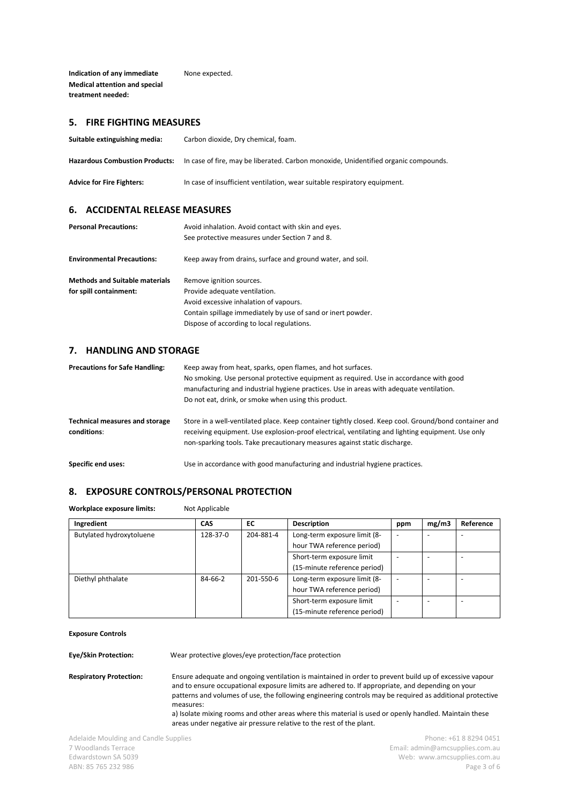**Indication of any immediate** None expected. **Medical attention and special treatment needed:** 

# **5. FIRE FIGHTING MEASURES**

| Suitable extinguishing media:         | Carbon dioxide, Dry chemical, foam.                                                 |
|---------------------------------------|-------------------------------------------------------------------------------------|
| <b>Hazardous Combustion Products:</b> | In case of fire, may be liberated. Carbon monoxide, Unidentified organic compounds. |
| <b>Advice for Fire Fighters:</b>      | In case of insufficient ventilation, wear suitable respiratory equipment.           |

#### **6. ACCIDENTAL RELEASE MEASURES**

| <b>Personal Precautions:</b>          | Avoid inhalation. Avoid contact with skin and eyes.<br>See protective measures under Section 7 and 8. |
|---------------------------------------|-------------------------------------------------------------------------------------------------------|
| <b>Environmental Precautions:</b>     | Keep away from drains, surface and ground water, and soil.                                            |
| <b>Methods and Suitable materials</b> | Remove ignition sources.                                                                              |
| for spill containment:                | Provide adequate ventilation.                                                                         |
|                                       | Avoid excessive inhalation of vapours.                                                                |
|                                       | Contain spillage immediately by use of sand or inert powder.                                          |
|                                       | Dispose of according to local regulations.                                                            |

# **7. HANDLING AND STORAGE**

| <b>Precautions for Safe Handling:</b>                | Keep away from heat, sparks, open flames, and hot surfaces.<br>No smoking. Use personal protective equipment as required. Use in accordance with good<br>manufacturing and industrial hygiene practices. Use in areas with adequate ventilation.<br>Do not eat, drink, or smoke when using this product. |
|------------------------------------------------------|----------------------------------------------------------------------------------------------------------------------------------------------------------------------------------------------------------------------------------------------------------------------------------------------------------|
| <b>Technical measures and storage</b><br>conditions: | Store in a well-ventilated place. Keep container tightly closed. Keep cool. Ground/bond container and<br>receiving equipment. Use explosion-proof electrical, ventilating and lighting equipment. Use only<br>non-sparking tools. Take precautionary measures against static discharge.                  |
| Specific end uses:                                   | Use in accordance with good manufacturing and industrial hygiene practices.                                                                                                                                                                                                                              |

# **8. EXPOSURE CONTROLS/PERSONAL PROTECTION**

Workplace exposure limits: Not Applicable

| Ingredient               | <b>CAS</b> | EC        | <b>Description</b>           | ppm | mg/m3 | Reference |
|--------------------------|------------|-----------|------------------------------|-----|-------|-----------|
| Butylated hydroxytoluene | 128-37-0   | 204-881-4 | Long-term exposure limit (8- |     | ۰     |           |
|                          |            |           | hour TWA reference period)   |     |       |           |
|                          |            |           | Short-term exposure limit    |     |       |           |
|                          |            |           | (15-minute reference period) |     |       |           |
| Diethyl phthalate        | 84-66-2    | 201-550-6 | Long-term exposure limit (8- |     |       |           |
|                          |            |           | hour TWA reference period)   |     |       |           |
|                          |            |           | Short-term exposure limit    |     |       |           |
|                          |            |           | (15-minute reference period) |     |       |           |

**Exposure Controls**

**Eye/Skin Protection:** Wear protective gloves/eye protection/face protection

**Respiratory Protection:** Ensure adequate and ongoing ventilation is maintained in order to prevent build up of excessive vapour and to ensure occupational exposure limits are adhered to. If appropriate, and depending on your patterns and volumes of use, the following engineering controls may be required as additional protective measures: a) Isolate mixing rooms and other areas where this material is used or openly handled. Maintain these

areas under negative air pressure relative to the rest of the plant.

Adelaide Moulding and Candle Supplies **Adelaide Moulding and Candle Supplies Phone: +61 8 8294 0451**<br>7 Woodlands Terrace **Phone: +61 8 8294 0451** 7 Woodlands Terrace Email: [admin@amcsupplies.com.au](mailto:admin@amcsupplies.com.au) ABN: 85 765 232 986 Page 3 of 6

Web: [www.amcsupplies.com.au](http://www.amcsupplies.com.au/)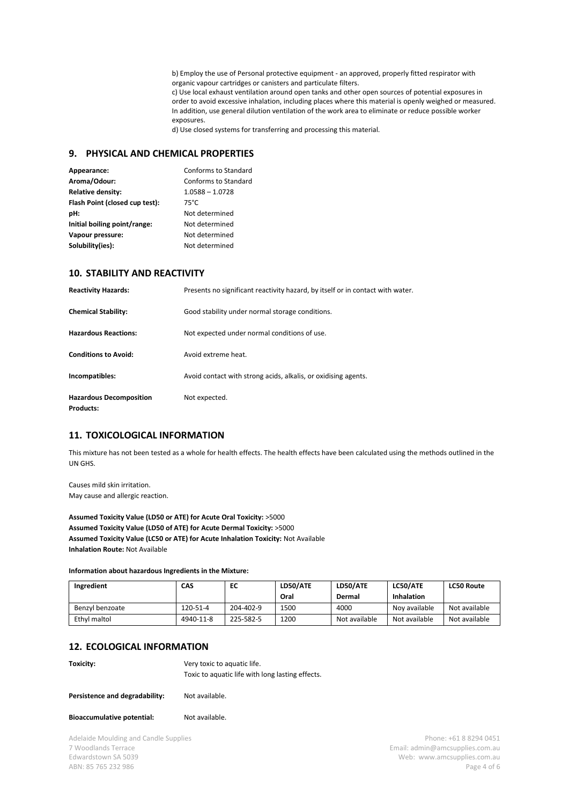b) Employ the use of Personal protective equipment - an approved, properly fitted respirator with organic vapour cartridges or canisters and particulate filters.

c) Use local exhaust ventilation around open tanks and other open sources of potential exposures in order to avoid excessive inhalation, including places where this material is openly weighed or measured. In addition, use general dilution ventilation of the work area to eliminate or reduce possible worker exposures.

d) Use closed systems for transferring and processing this material.

## **9. PHYSICAL AND CHEMICAL PROPERTIES**

| Appearance:                    | Conforms to Standard |
|--------------------------------|----------------------|
| Aroma/Odour:                   | Conforms to Standard |
| <b>Relative density:</b>       | $1.0588 - 1.0728$    |
| Flash Point (closed cup test): | $75^{\circ}$ C       |
| pH:                            | Not determined       |
| Initial boiling point/range:   | Not determined       |
| Vapour pressure:               | Not determined       |
| Solubility(ies):               | Not determined       |

### **10. STABILITY AND REACTIVITY**

| <b>Reactivity Hazards:</b>                         | Presents no significant reactivity hazard, by itself or in contact with water. |
|----------------------------------------------------|--------------------------------------------------------------------------------|
| <b>Chemical Stability:</b>                         | Good stability under normal storage conditions.                                |
| <b>Hazardous Reactions:</b>                        | Not expected under normal conditions of use.                                   |
| <b>Conditions to Avoid:</b>                        | Avoid extreme heat.                                                            |
| Incompatibles:                                     | Avoid contact with strong acids, alkalis, or oxidising agents.                 |
| <b>Hazardous Decomposition</b><br><b>Products:</b> | Not expected.                                                                  |

## **11. TOXICOLOGICAL INFORMATION**

This mixture has not been tested as a whole for health effects. The health effects have been calculated using the methods outlined in the UN GHS.

Causes mild skin irritation. May cause and allergic reaction.

**Assumed Toxicity Value (LD50 or ATE) for Acute Oral Toxicity:** >5000 **Assumed Toxicity Value (LD50 of ATE) for Acute Dermal Toxicity:** >5000 **Assumed Toxicity Value (LC50 or ATE) for Acute Inhalation Toxicity:** Not Available **Inhalation Route:** Not Available

**Information about hazardous Ingredients in the Mixture:**

| Ingredient      | CAS       | EC        | LD50/ATE | LD50/ATE      | LC50/ATE      | <b>LC50 Route</b> |
|-----------------|-----------|-----------|----------|---------------|---------------|-------------------|
|                 |           |           | Oral     | Dermal        | Inhalation    |                   |
| Benzyl benzoate | 120-51-4  | 204-402-9 | 1500     | 4000          | Nov available | Not available     |
| Ethyl maltol    | 4940-11-8 | 225-582-5 | 1200     | Not available | Not available | Not available     |

#### **12. ECOLOGICAL INFORMATION**

**Toxicity:** Very toxic to aquatic life. Toxic to aquatic life with long lasting effects.

**Bioaccumulative potential:** Not available.

Adelaide Moulding and Candle Supplies **Phone: +61 8 8294 0451** 7 Woodlands Terrace Email: [admin@amcsupplies.com.au](mailto:admin@amcsupplies.com.au) ABN: 85 765 232 986 Page 4 of 6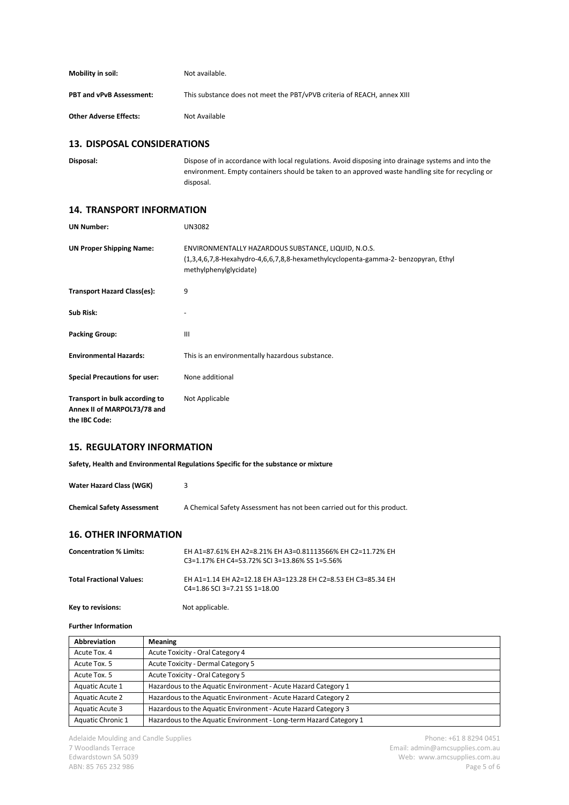| Mobility in soil:               | Not available.                                                          |
|---------------------------------|-------------------------------------------------------------------------|
| <b>PBT and vPvB Assessment:</b> | This substance does not meet the PBT/vPVB criteria of REACH, annex XIII |
| <b>Other Adverse Effects:</b>   | Not Available                                                           |

#### **13. DISPOSAL CONSIDERATIONS**

**Disposal:** Dispose of in accordance with local regulations. Avoid disposing into drainage systems and into the environment. Empty containers should be taken to an approved waste handling site for recycling or disposal.

#### **14. TRANSPORT INFORMATION**

| <b>UN Number:</b>                                                              | UN3082                                                                                                                                                                 |
|--------------------------------------------------------------------------------|------------------------------------------------------------------------------------------------------------------------------------------------------------------------|
| <b>UN Proper Shipping Name:</b>                                                | ENVIRONMENTALLY HAZARDOUS SUBSTANCE, LIQUID, N.O.S.<br>$(1,3,4,6,7,8$ -Hexahydro-4,6,6,7,8,8-hexamethylcyclopenta-gamma-2- benzopyran, Ethyl<br>methylphenylglycidate) |
| <b>Transport Hazard Class(es):</b>                                             | 9                                                                                                                                                                      |
| Sub Risk:                                                                      |                                                                                                                                                                        |
| <b>Packing Group:</b>                                                          | Ш                                                                                                                                                                      |
| <b>Environmental Hazards:</b>                                                  | This is an environmentally hazardous substance.                                                                                                                        |
| <b>Special Precautions for user:</b>                                           | None additional                                                                                                                                                        |
| Transport in bulk according to<br>Annex II of MARPOL73/78 and<br>the IBC Code: | Not Applicable                                                                                                                                                         |

# **15. REGULATORY INFORMATION**

**Safety, Health and Environmental Regulations Specific for the substance or mixture**

| Water Hazard Class (WGK)          |                                                                         |
|-----------------------------------|-------------------------------------------------------------------------|
| <b>Chemical Safety Assessment</b> | A Chemical Safety Assessment has not been carried out for this product. |

### **16. OTHER INFORMATION**

| <b>Concentration % Limits:</b>  | EH A1=87.61% EH A2=8.21% EH A3=0.81113566% EH C2=11.72% EH<br>C3=1.17% EH C4=53.72% SCI 3=13.86% SS 1=5.56% |
|---------------------------------|-------------------------------------------------------------------------------------------------------------|
| <b>Total Fractional Values:</b> | EH A1=1.14 EH A2=12.18 EH A3=123.28 EH C2=8.53 EH C3=85.34 EH<br>$C4=1.86$ SCI 3=7.21 SS 1=18.00            |

**Key to revisions:** Not applicable.

#### **Further Information**

| Abbreviation           | <b>Meaning</b>                                                     |
|------------------------|--------------------------------------------------------------------|
| Acute Tox. 4           | Acute Toxicity - Oral Category 4                                   |
| Acute Tox. 5           | Acute Toxicity - Dermal Category 5                                 |
| Acute Tox. 5           | Acute Toxicity - Oral Category 5                                   |
| Aquatic Acute 1        | Hazardous to the Aquatic Environment - Acute Hazard Category 1     |
| <b>Aquatic Acute 2</b> | Hazardous to the Aquatic Environment - Acute Hazard Category 2     |
| Aquatic Acute 3        | Hazardous to the Aquatic Environment - Acute Hazard Category 3     |
| Aquatic Chronic 1      | Hazardous to the Aquatic Environment - Long-term Hazard Category 1 |

Adelaide Moulding and Candle Supplies **Adelaide Moulding and Candle Supplies** Phone: +61 8 8294 0451<br>7 Woodlands Terrace **Phone: +61 8 8294 0451** 7 Woodlands Terrace Email: [admin@amcsupplies.com.au](mailto:admin@amcsupplies.com.au) ABN: 85 765 232 986 Page 5 of 6

Web: [www.amcsupplies.com.au](http://www.amcsupplies.com.au/)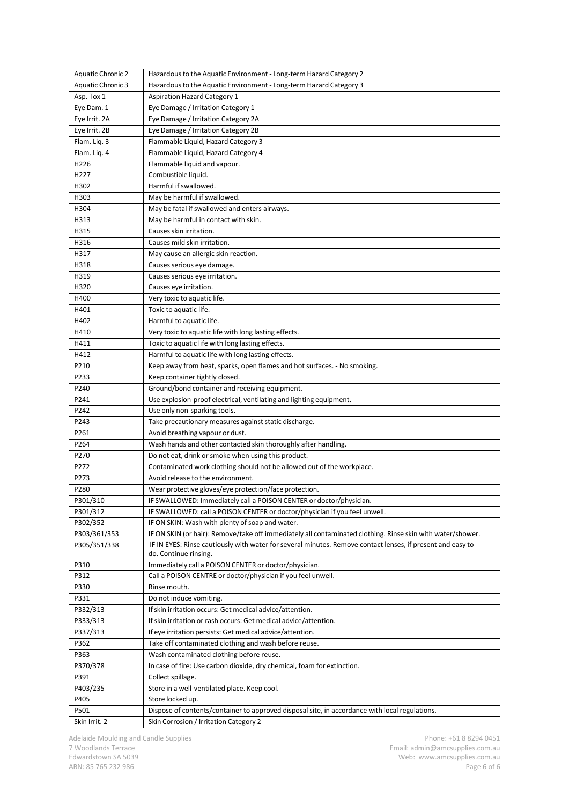| <b>Aquatic Chronic 2</b> | Hazardous to the Aquatic Environment - Long-term Hazard Category 2                                         |
|--------------------------|------------------------------------------------------------------------------------------------------------|
| <b>Aquatic Chronic 3</b> | Hazardous to the Aquatic Environment - Long-term Hazard Category 3                                         |
| Asp. Tox 1               | <b>Aspiration Hazard Category 1</b>                                                                        |
| Eye Dam. 1               | Eye Damage / Irritation Category 1                                                                         |
| Eye Irrit. 2A            | Eye Damage / Irritation Category 2A                                                                        |
| Eye Irrit. 2B            | Eye Damage / Irritation Category 2B                                                                        |
| Flam. Lig. 3             | Flammable Liquid, Hazard Category 3                                                                        |
| Flam. Liq. 4             | Flammable Liquid, Hazard Category 4                                                                        |
| H226                     | Flammable liquid and vapour.                                                                               |
| H227                     | Combustible liquid.                                                                                        |
| H302                     | Harmful if swallowed.                                                                                      |
| H303                     | May be harmful if swallowed.                                                                               |
| H304                     | May be fatal if swallowed and enters airways.                                                              |
| H313                     | May be harmful in contact with skin.                                                                       |
| H315                     | Causes skin irritation.                                                                                    |
| H316                     | Causes mild skin irritation.                                                                               |
| H317                     | May cause an allergic skin reaction.                                                                       |
| H318                     | Causes serious eye damage.                                                                                 |
| H319                     | Causes serious eye irritation.                                                                             |
| H320                     | Causes eye irritation.                                                                                     |
| H400                     | Very toxic to aquatic life.                                                                                |
| H401                     | Toxic to aquatic life.                                                                                     |
| H402                     | Harmful to aquatic life.                                                                                   |
| H410                     | Very toxic to aquatic life with long lasting effects.                                                      |
| H411                     | Toxic to aquatic life with long lasting effects.                                                           |
| H412                     | Harmful to aquatic life with long lasting effects.                                                         |
| P210                     | Keep away from heat, sparks, open flames and hot surfaces. - No smoking.                                   |
| P233                     | Keep container tightly closed.                                                                             |
| P240                     | Ground/bond container and receiving equipment.                                                             |
| P241                     | Use explosion-proof electrical, ventilating and lighting equipment.                                        |
| P242                     | Use only non-sparking tools.                                                                               |
| P243                     | Take precautionary measures against static discharge.                                                      |
| P261                     | Avoid breathing vapour or dust.                                                                            |
| P264                     | Wash hands and other contacted skin thoroughly after handling.                                             |
| P270                     | Do not eat, drink or smoke when using this product.                                                        |
| P272                     | Contaminated work clothing should not be allowed out of the workplace.                                     |
| P273                     | Avoid release to the environment.                                                                          |
| P280                     | Wear protective gloves/eye protection/face protection.                                                     |
| P301/310                 | IF SWALLOWED: Immediately call a POISON CENTER or doctor/physician.                                        |
| P301/312                 | IF SWALLOWED: call a POISON CENTER or doctor/physician if you feel unwell.                                 |
| P302/352                 | IF ON SKIN: Wash with plenty of soap and water.                                                            |
| P303/361/353             | IF ON SKIN (or hair): Remove/take off immediately all contaminated clothing. Rinse skin with water/shower. |
| P305/351/338             | IF IN EYES: Rinse cautiously with water for several minutes. Remove contact lenses, if present and easy to |
|                          | do. Continue rinsing.                                                                                      |
| P310                     | Immediately call a POISON CENTER or doctor/physician.                                                      |
| P312                     | Call a POISON CENTRE or doctor/physician if you feel unwell.                                               |
| P330                     | Rinse mouth.                                                                                               |
| P331                     | Do not induce vomiting.                                                                                    |
| P332/313                 | If skin irritation occurs: Get medical advice/attention.                                                   |
| P333/313                 | If skin irritation or rash occurs: Get medical advice/attention.                                           |
| P337/313                 | If eye irritation persists: Get medical advice/attention.                                                  |
| P362                     | Take off contaminated clothing and wash before reuse.                                                      |
| P363                     | Wash contaminated clothing before reuse.                                                                   |
| P370/378                 | In case of fire: Use carbon dioxide, dry chemical, foam for extinction.                                    |
| P391                     | Collect spillage.                                                                                          |
| P403/235                 | Store in a well-ventilated place. Keep cool.                                                               |
| P405                     | Store locked up.                                                                                           |
| P501                     | Dispose of contents/container to approved disposal site, in accordance with local regulations.             |
| Skin Irrit. 2            | Skin Corrosion / Irritation Category 2                                                                     |